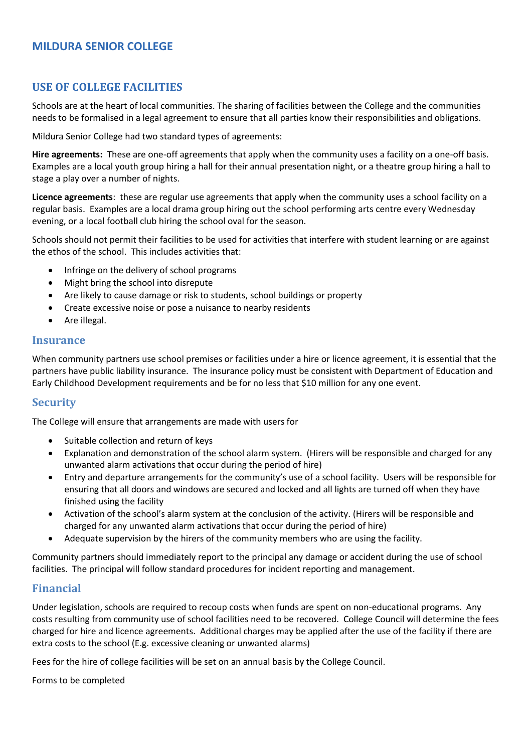# **MILDURA SENIOR COLLEGE**

## **USE OF COLLEGE FACILITIES**

Schools are at the heart of local communities. The sharing of facilities between the College and the communities needs to be formalised in a legal agreement to ensure that all parties know their responsibilities and obligations.

Mildura Senior College had two standard types of agreements:

**Hire agreements:** These are one-off agreements that apply when the community uses a facility on a one-off basis. Examples are a local youth group hiring a hall for their annual presentation night, or a theatre group hiring a hall to stage a play over a number of nights.

**Licence agreements**: these are regular use agreements that apply when the community uses a school facility on a regular basis. Examples are a local drama group hiring out the school performing arts centre every Wednesday evening, or a local football club hiring the school oval for the season.

Schools should not permit their facilities to be used for activities that interfere with student learning or are against the ethos of the school. This includes activities that:

- Infringe on the delivery of school programs
- Might bring the school into disrepute
- Are likely to cause damage or risk to students, school buildings or property
- Create excessive noise or pose a nuisance to nearby residents
- Are illegal.

#### **Insurance**

When community partners use school premises or facilities under a hire or licence agreement, it is essential that the partners have public liability insurance. The insurance policy must be consistent with Department of Education and Early Childhood Development requirements and be for no less that \$10 million for any one event.

#### **Security**

The College will ensure that arrangements are made with users for

- Suitable collection and return of keys
- Explanation and demonstration of the school alarm system. (Hirers will be responsible and charged for any unwanted alarm activations that occur during the period of hire)
- Entry and departure arrangements for the community's use of a school facility. Users will be responsible for ensuring that all doors and windows are secured and locked and all lights are turned off when they have finished using the facility
- Activation of the school's alarm system at the conclusion of the activity. (Hirers will be responsible and charged for any unwanted alarm activations that occur during the period of hire)
- Adequate supervision by the hirers of the community members who are using the facility.

Community partners should immediately report to the principal any damage or accident during the use of school facilities. The principal will follow standard procedures for incident reporting and management.

### **Financial**

Under legislation, schools are required to recoup costs when funds are spent on non-educational programs. Any costs resulting from community use of school facilities need to be recovered. College Council will determine the fees charged for hire and licence agreements. Additional charges may be applied after the use of the facility if there are extra costs to the school (E.g. excessive cleaning or unwanted alarms)

Fees for the hire of college facilities will be set on an annual basis by the College Council.

Forms to be completed